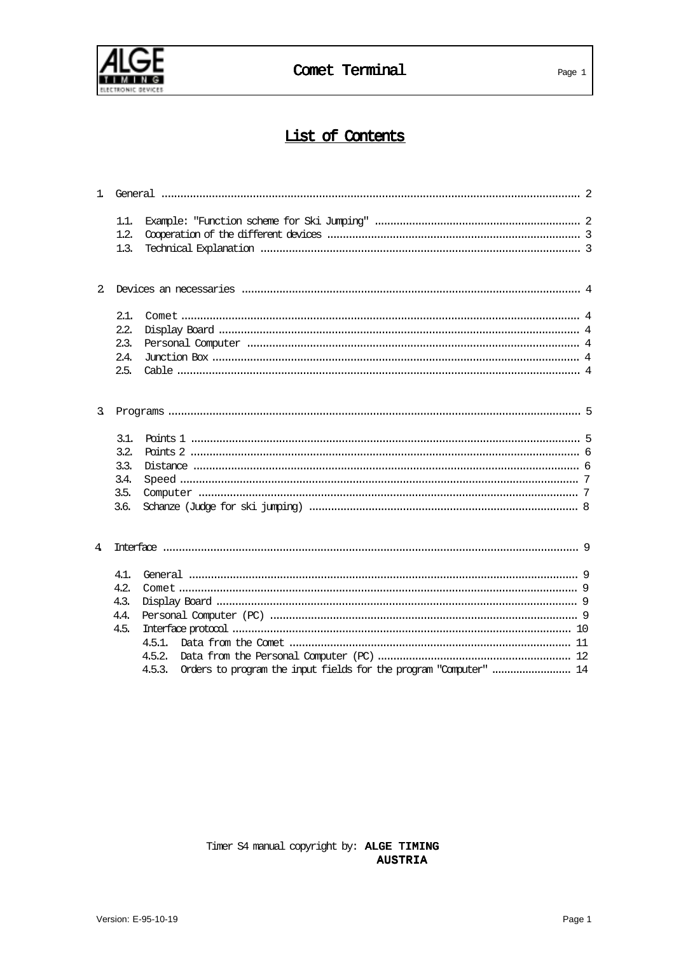

# List of Contents

| $\mathbf{1}$ |      |                                                                             |  |
|--------------|------|-----------------------------------------------------------------------------|--|
|              | 1.1. |                                                                             |  |
|              | 1.2. |                                                                             |  |
|              | 1.3. |                                                                             |  |
|              |      |                                                                             |  |
| $2^{1}$      |      |                                                                             |  |
|              | 2.1. |                                                                             |  |
|              | 2.2. |                                                                             |  |
|              | 2.3. |                                                                             |  |
|              | 2.4. |                                                                             |  |
|              | 2.5. |                                                                             |  |
| 3.           |      |                                                                             |  |
|              |      |                                                                             |  |
|              | 3.1. |                                                                             |  |
|              | 3.2. |                                                                             |  |
|              | 3.3. |                                                                             |  |
|              | 3.4. |                                                                             |  |
|              | 3.5. |                                                                             |  |
|              | 3.6. |                                                                             |  |
| 4            |      |                                                                             |  |
|              | 4.1. |                                                                             |  |
|              | 4.2. |                                                                             |  |
|              | 4.3. |                                                                             |  |
|              | 4.4. |                                                                             |  |
|              | 4.5. |                                                                             |  |
|              |      | 4.5.1.                                                                      |  |
|              |      | 4.5.2.                                                                      |  |
|              |      | Orders to program the input fields for the program "Computer"  14<br>4.5.3. |  |

Timer S4 manual copyright by: ALGE TIMING **AUSTRIA**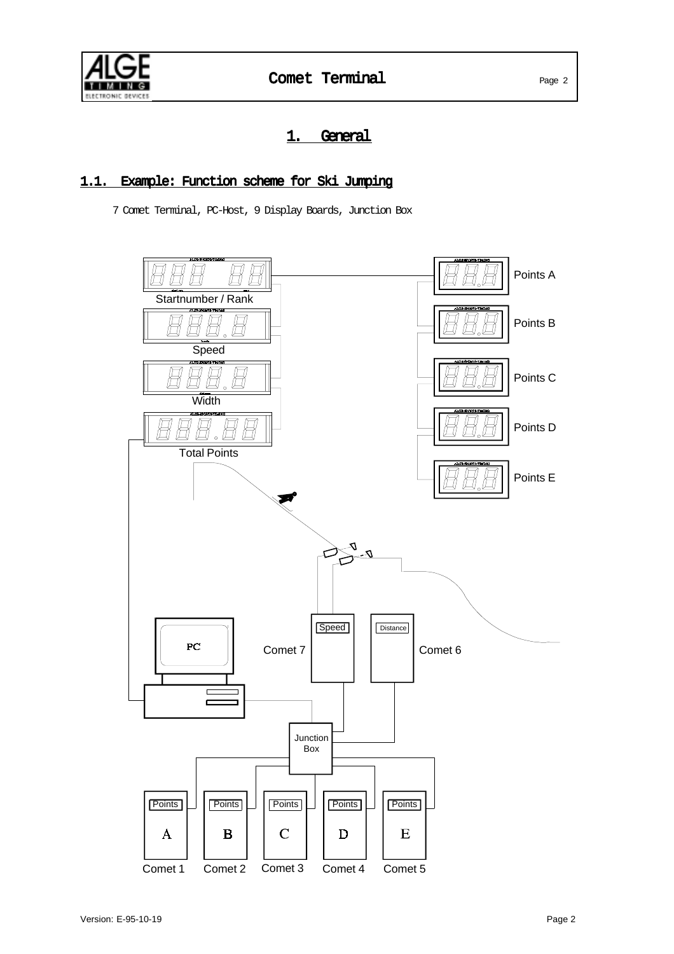

# 1. General

# 1.1. Example: Function scheme for Ski Jumping

7 Comet Terminal, PC-Host, 9 Display Boards, Junction Box

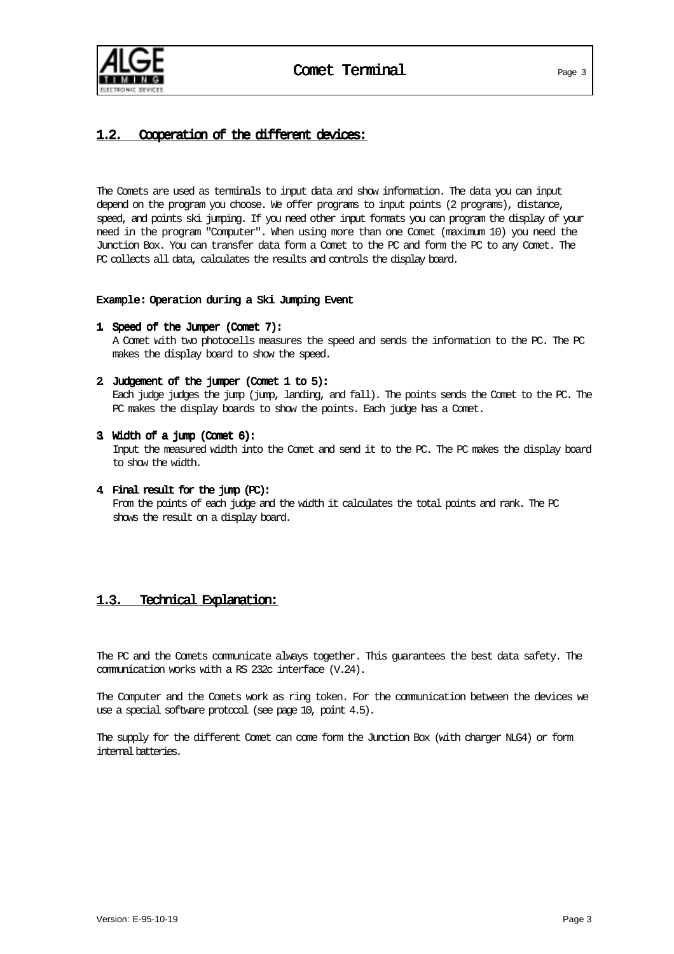

# 1.2. Cooperation of the different devices:

The Comets are used as terminals to input data and show information. The data you can input depend on the program you choose. We offer programs to input points (2 programs), distance, speed, and points ski jumping. If you need other input formats you can program the display of your need in the program "Computer". When using more than one Comet (maximum 10) you need the Junction Box. You can transfer data form a Comet to the PC and form the PC to any Comet. The PC collects all data, calculates the results and controls the display board.

#### Example: Example: Operation during a Ski Jumping Event

- 1. Speed of the Jumper (Comet 7): A Comet with two photocells measures the speed and sends the information to the PC. The PC makes the display board to show the speed.
- 2. Judgement of the jumper (Comet 1 to 5): Each judge judges the jump (jump, landing, and fall). The points sends the Comet to the PC. The PC makes the display boards to show the points. Each judge has a Comet.
- 3. Width of a jump (Comet 6): Input the measured width into the Comet and send it to the PC. The PC makes the display board to show the width.
- 4. Final result for the jump (PC): From the points of each judge and the width it calculates the total points and rank. The PC shows the result on a display board.

#### 1.3. Technical Explanation:

The PC and the Comets communicate always together. This guarantees the best data safety. The communication works with a RS 232c interface (V.24).

The Computer and the Comets work as ring token. For the communication between the devices we use a special software protocol (see page 10, point 4.5).

The supply for the different Comet can come form the Junction Box (with charger NLG4) or form internal batteries.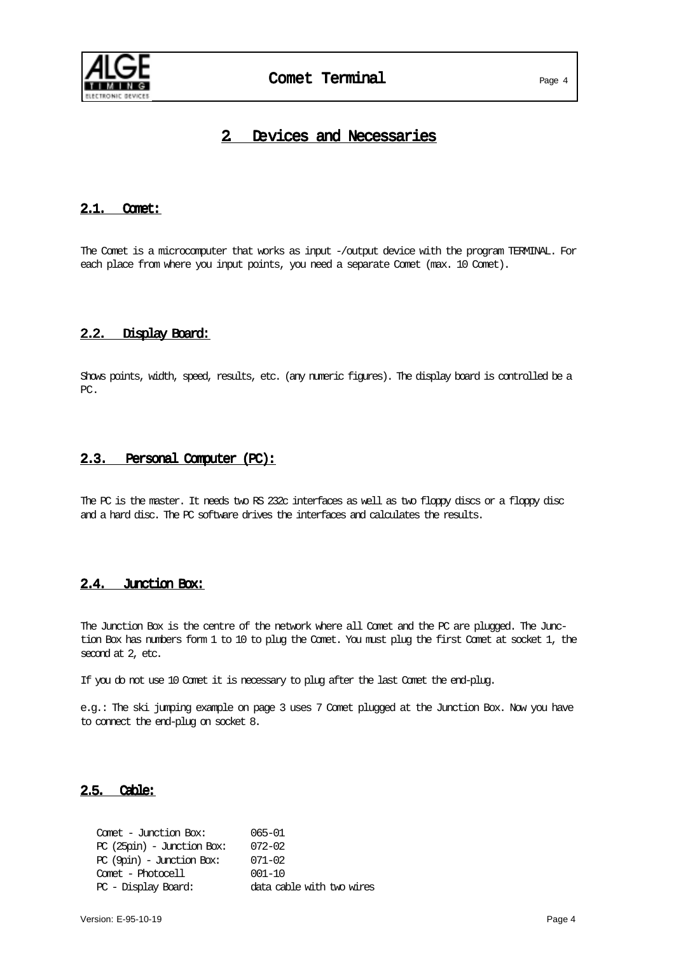

# 2. Devices and Necessaries

#### 2.1. Comet:

The Comet is a microcomputer that works as input -/output device with the program TERMINAL. For each place from where you input points, you need a separate Comet (max. 10 Comet).

#### 2.2. Display Board:

Shows points, width, speed, results, etc. (any numeric figures). The display board is controlled be a PC.

#### 2.3. Personal Computer (PC):

The PC is the master. It needs two RS 232c interfaces as well as two floppy discs or a floppy disc and a hard disc. The PC software drives the interfaces and calculates the results.

#### 2.4. Junction Box:

The Junction Box is the centre of the network where all Comet and the PC are plugged. The Junction Box has numbers form 1 to 10 to plug the Comet. You must plug the first Comet at socket 1, the second at 2, etc.

If you do not use 10 Comet it is necessary to plug after the last Comet the end-plug.

e.g.: The ski jumping example on page 3 uses 7 Comet plugged at the Junction Box. Now you have to connect the end-plug on socket 8.

#### 2.5. Cable:

Comet - Junction Box: 065-01 PC (25pin) - Junction Box: 072-02 PC (9pin) - Junction Box: 071-02 Comet - Photocell 001-10 PC - Display Board: data cable with two wires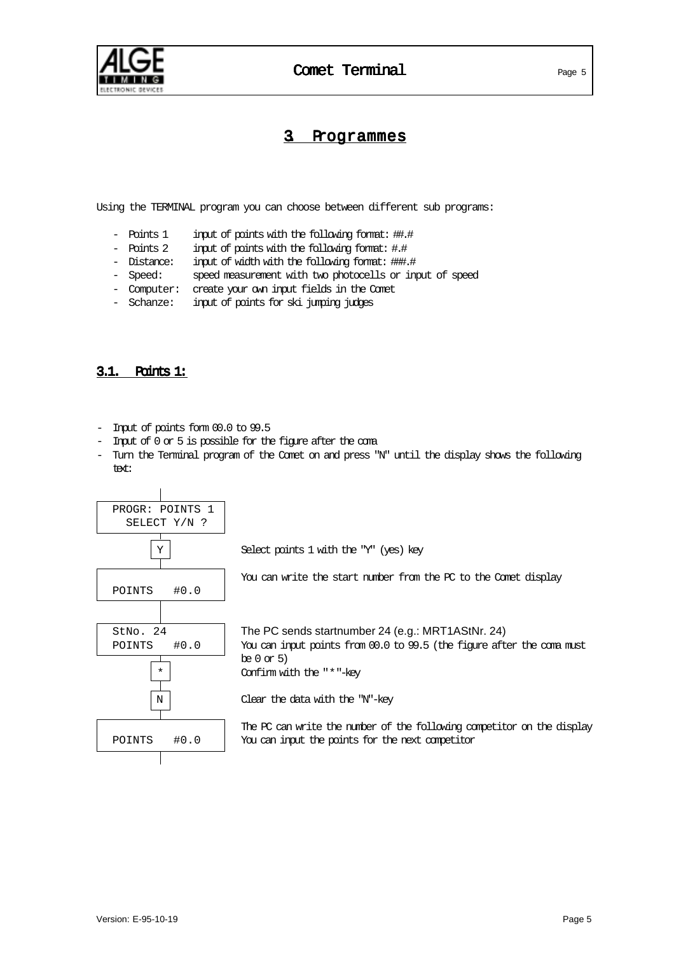

# 3 Programmes

Using the TERMINAL program you can choose between different sub programs:

- Points 1 input of points with the following format: ##.#
- Points 2 input of points with the following format: #.#
- Distance: input of width with the following format: ###.#
- Speed: speed measurement with two photocells or input of speed
- Computer: create your own input fields in the Comet
- Schanze: input of points for ski jumping judges

#### 3.1. Points 1:

- Input of points form 00.0 to 99.5
- Input of 0 or 5 is possible for the figure after the coma
- Turn the Terminal program of the Comet on and press "N" until the display shows the following text:

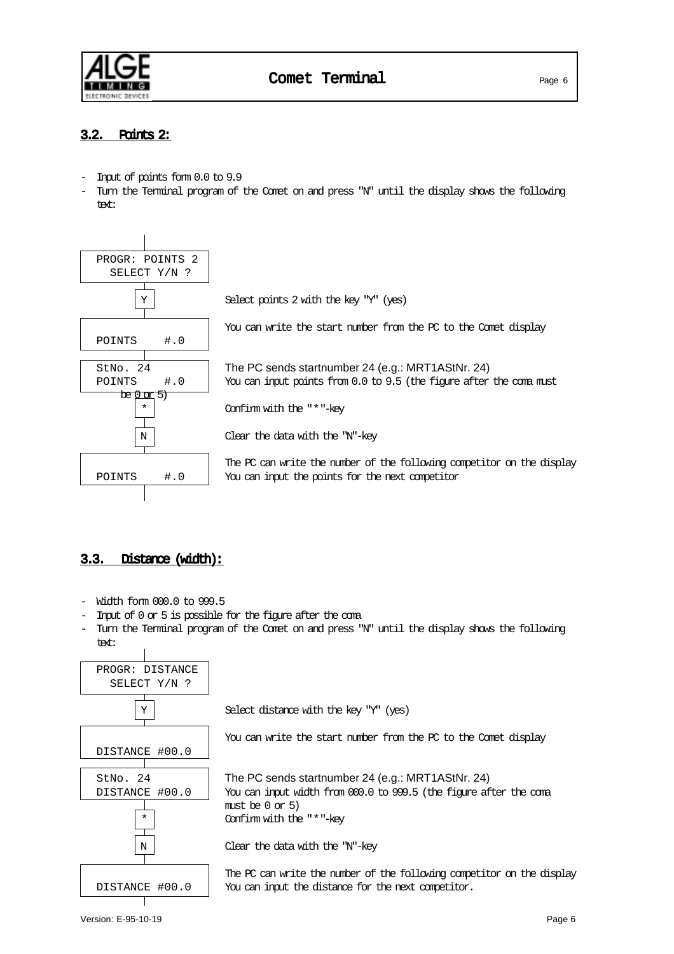

# 3.2. Points 2:

- Input of points form 0.0 to 9.9
- Turn the Terminal program of the Comet on and press "N" until the display shows the following text:



# 3.3. Distance (width):

- Width form 000.0 to 999.5
- Input of 0 or 5 is possible for the figure after the coma
- Turn the Terminal program of the Comet on and press "N" until the display shows the following text:

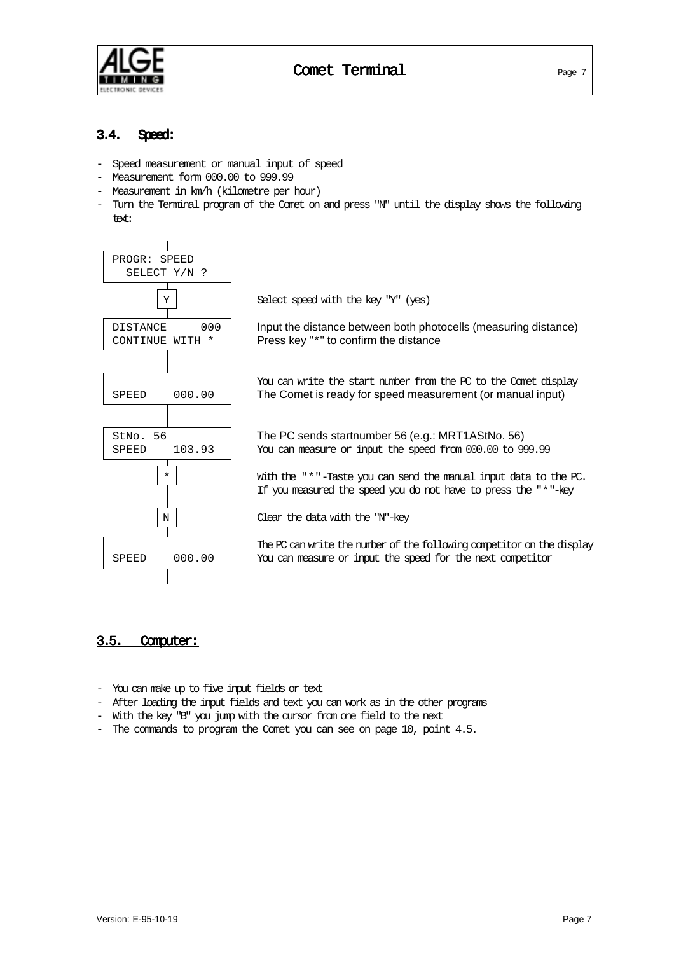

# 3.4. Speed:

- Speed measurement or manual input of speed
- Measurement form 000.00 to 999.99
- Measurement in km/h (kilometre per hour)
- Turn the Terminal program of the Comet on and press "N" until the display shows the following text:



#### 3.5. Computer:

- You can make up to five input fields or text
- After loading the input fields and text you can work as in the other programs
- With the key "B" you jump with the cursor from one field to the next
- The commands to program the Comet you can see on page 10, point 4.5.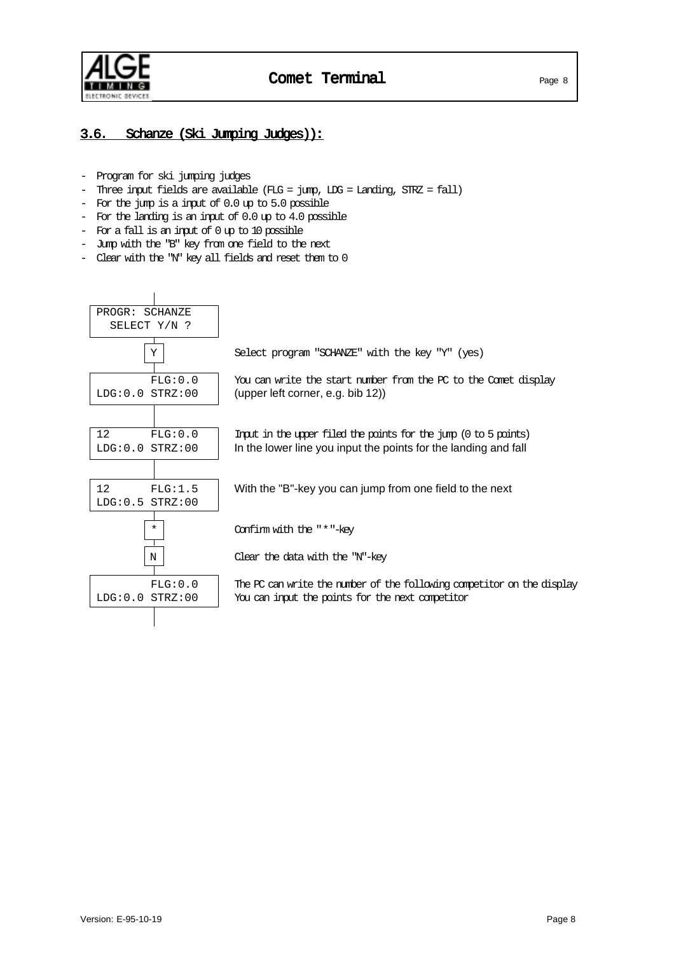

# 3.6. Schanze (Ski Jumping Judges)):

- Program for ski jumping judges
- Three input fields are available (FLG = jump, LDG = Landing, STRZ = fall)
- For the jump is a input of 0.0 up to 5.0 possible
- For the landing is an input of 0.0 up to 4.0 possible
- For a fall is an input of 0 up to 10 possible
- Jump with the "B" key from one field to the next
- Clear with the "N" key all fields and reset them to 0

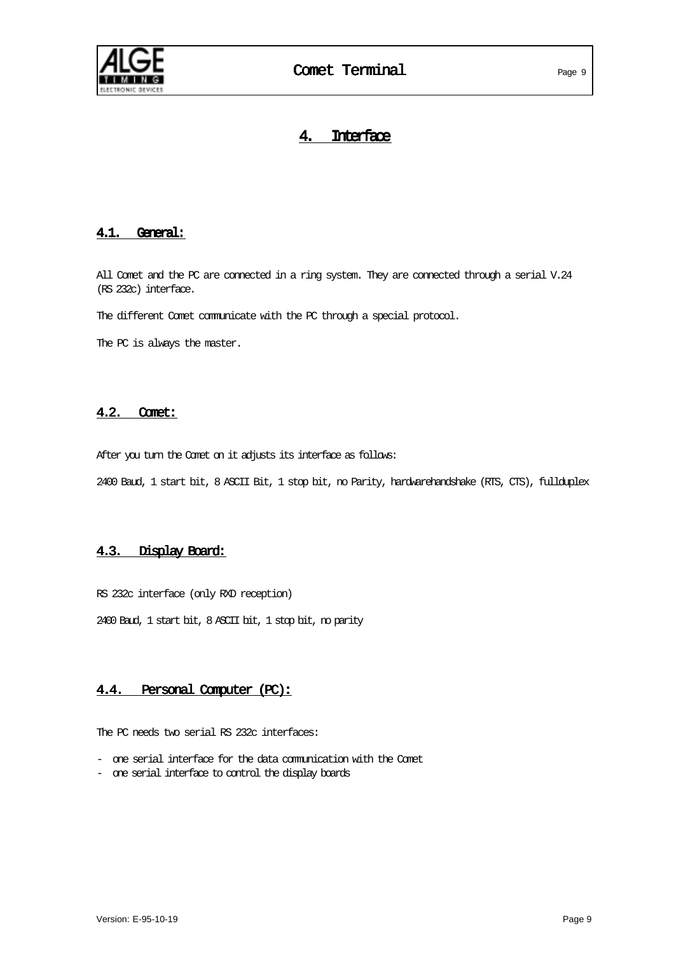

# 4. Interface

#### 4.1. General:

All Comet and the PC are connected in a ring system. They are connected through a serial V.24 (RS 232c) interface.

The different Comet communicate with the PC through a special protocol.

The PC is always the master.

#### 4.2. Comet:

After you turn the Comet on it adjusts its interface as follows:

2400 Baud, 1 start bit, 8 ASCII Bit, 1 stop bit, no Parity, hardwarehandshake (RTS, CTS), fullduplex

#### 4.3. Display Board:

RS 232c interface (only RXD reception)

2400 Baud, 1 start bit, 8 ASCII bit, 1 stop bit, no parity

#### 4.4. Personal Computer (PC):

The PC needs two serial RS 232c interfaces:

- one serial interface for the data comunication with the Comet
- one serial interface to control the display boards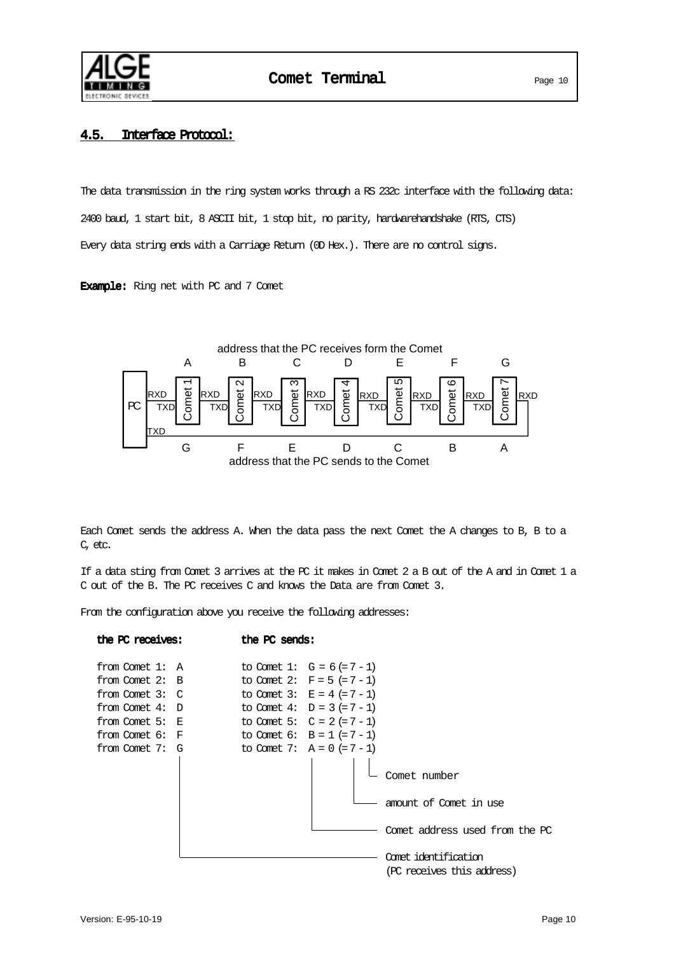

### 4.5. Interface Protocol:

The data transmission in the ring system works through a RS 232c interface with the following data: 2400 baud, 1 start bit, 8 ASCII bit, 1 stop bit, no parity, hardwarehandshake (RTS, CTS) Every data string ends with a Carriage Return (OD Hex.). There are no control signs.

Example: Ring net with PC and 7 Comet



| Comet<br>RXD<br>РC<br>TXD<br>TXD                                                                                                                                               | N<br>ო<br>Comet<br>Comet<br><b>RXD</b><br>RXD<br><b>RXD</b><br>TXD<br>TXD                                                                                                                                                           | ഥ<br>4<br>Comet<br>Comet<br><b>RXD</b><br><b>TXD</b><br><b>TXD</b> | ဖ<br>Comet<br><b>RXD</b><br>RXD<br>TXD                                                                                         | r<br>Comet<br><b>RXD</b><br>TXD |         |
|--------------------------------------------------------------------------------------------------------------------------------------------------------------------------------|-------------------------------------------------------------------------------------------------------------------------------------------------------------------------------------------------------------------------------------|--------------------------------------------------------------------|--------------------------------------------------------------------------------------------------------------------------------|---------------------------------|---------|
| G                                                                                                                                                                              | F<br>E<br>address that the PC sends to the Comet                                                                                                                                                                                    | C<br>D                                                             | В                                                                                                                              | A                               |         |
|                                                                                                                                                                                |                                                                                                                                                                                                                                     |                                                                    |                                                                                                                                |                                 |         |
| Each Comet sends the address A. When the data pass the next Comet the A changes to B, B to a<br>C, etc.                                                                        |                                                                                                                                                                                                                                     |                                                                    |                                                                                                                                |                                 |         |
| If a data sting from Comet 3 arrives at the PC it makes in Comet 2 a B out of the A and in Comet 1 a<br>C out of the B. The PC receives C and knows the Data are from Comet 3. |                                                                                                                                                                                                                                     |                                                                    |                                                                                                                                |                                 |         |
| From the configuration above you receive the following addresses:                                                                                                              |                                                                                                                                                                                                                                     |                                                                    |                                                                                                                                |                                 |         |
| the PC receives:                                                                                                                                                               | the PC sends:                                                                                                                                                                                                                       |                                                                    |                                                                                                                                |                                 |         |
| from Comet 1:<br>Α<br>from Comet 2:<br>В<br>from Comet 3:<br>C<br>from Comet 4:<br>D<br>from Comet 5:<br>Е<br>from Comet 6:<br>F<br>from Comet 7:<br>G                         | to Comet 1: $G = 6 (= 7 - 1)$<br>to Comet 2: $F = 5 (= 7 - 1)$<br>to Comet 3: $E = 4 (= 7 - 1)$<br>to Comet 4: $D = 3 (= 7 - 1)$<br>to Comet 5: $C = 2 (= 7 - 1)$<br>to Comet 6: $B = 1 (= 7 - 1)$<br>to Comet 7: $A = 0 (= 7 - 1)$ |                                                                    | Comet number<br>amount of Comet in use<br>Comet address used from the PC<br>Comet identification<br>(PC receives this address) |                                 |         |
| Version: E-95-10-19                                                                                                                                                            |                                                                                                                                                                                                                                     |                                                                    |                                                                                                                                |                                 | Page 10 |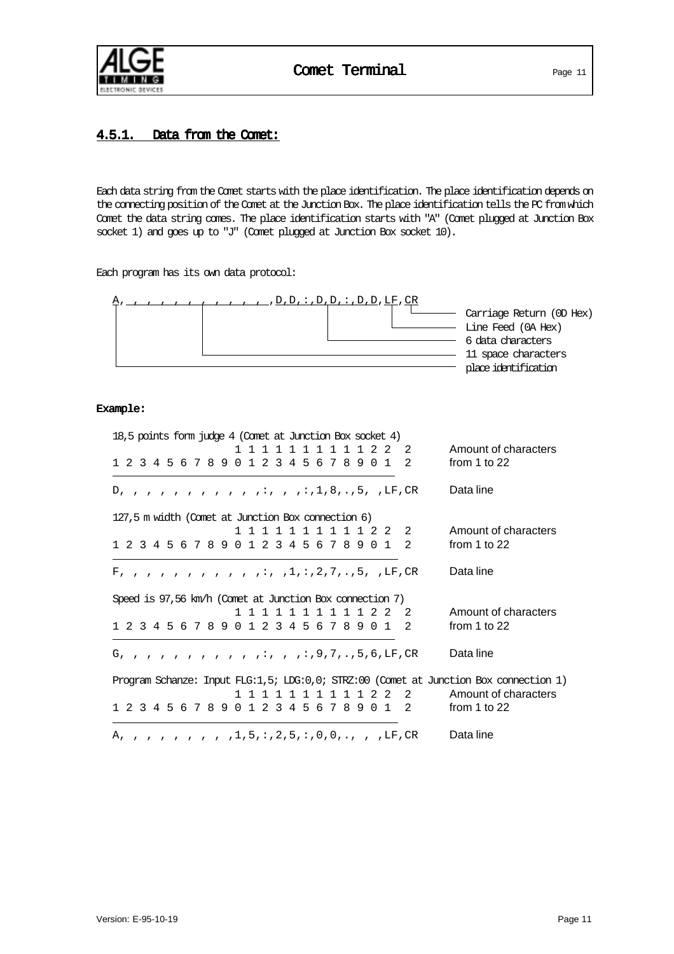

# 4.5.1. Data from the Comet:

Each data string from the Comet starts with the place identification. The place identification depends on the connecting position of the Comet at the Junction Box. The place identification tells the PC from which Comet the data string comes. The place identification starts with "A" (Comet plugged at Junction Box socket 1) and goes up to "J" (Comet plugged at Junction Box socket 10).

Each program has its own data protocol:



#### Example:

| 18,5 points form judge 4 (Comet at Junction Box socket 4)                             |                      |
|---------------------------------------------------------------------------------------|----------------------|
| $\mathbf{1}$<br>22<br>$\mathcal{L}$                                                   | Amount of characters |
| 1 2 3 4 5 6 7 8 9 0 1 2 3 4 5 6 7 8 9 0 1<br>$\overline{2}$                           | from 1 to $22$       |
| D, , , , , , , , , , , , ; , , , , 1, 8, . , 5, , LF, CR                              | Data line            |
| 127,5 m width (Comet at Junction Box connection 6)                                    |                      |
| 1 1 1 1 1 1 1 1 1 2 2<br>2                                                            | Amount of characters |
| 1 2 3 4 5 6 7 8 9 0 1 2 3 4 5 6 7 8 9 0 1<br>$\overline{2}$                           | from 1 to $22$       |
|                                                                                       | Data line            |
| Speed is 97,56 km/h (Comet at Junction Box connection 7)                              |                      |
| 22<br>- 2<br>$\mathbf{1}$<br>$\overline{1}$<br>1 1<br>1 1<br>1 1<br>$\overline{1}$    | Amount of characters |
| 1 2 3 4 5 6 7 8 9 0 1 2 3 4 5 6 7 8 9 0 1<br>$\overline{2}$                           | from 1 to $22$       |
|                                                                                       | Data line            |
| Program Schanze: Input FLG:1,5; LDG:0,0; SIRZ:00 (Comet at Junction Box connection 1) |                      |
| 1 1 1 1 2 2<br>$\overline{2}$<br>$\mathbf{1}$                                         | Amount of characters |
| 1 2 3 4 5 6 7 8 9 0 1 2 3 4 5 6 7 8 9 0 1 2                                           | from 1 to $22$       |
|                                                                                       | Data line            |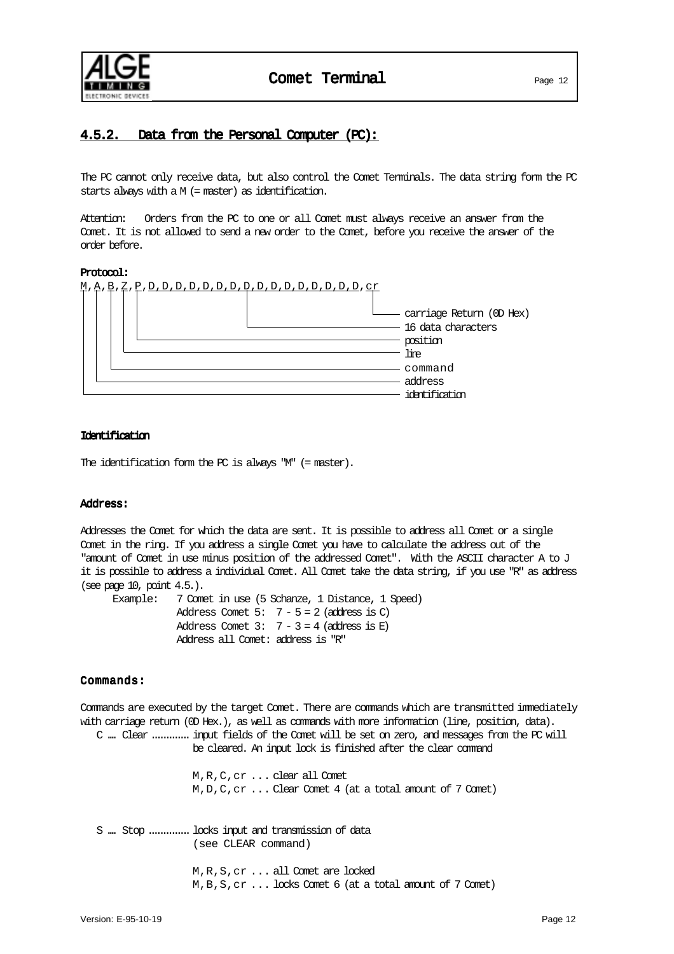

# 4.5.2. Data from the Personal Computer (PC):

The PC cannot only receive data, but also control the Comet Terminals. The data string form the PC starts always with a M (= master) as identification.

Attention: Orders from the PC to one or all Comet must always receive an answer from the Comet. It is not allowed to send a new order to the Comet, before you receive the answer of the order before.

#### Protocol:



#### Identification

The identification form the PC is always "M" (= master).

#### Address:

Addresses the Comet for which the data are sent. It is possible to address all Comet or a single Comet in the ring. If you address a single Comet you have to calculate the address out of the "amount of Comet in use minus position of the addressed Comet". With the ASCII character A to J it is possible to address a individual Comet. All Comet take the data string, if you use "R" as address (see page 10, point 4.5.).

| Example: 7 Comet in use (5 Schanze, 1 Distance, 1 Speed) |
|----------------------------------------------------------|
| Address Comet $5: 7 - 5 = 2$ (address is C)              |
| Address Comet $3: 7-3 = 4$ (address is E)                |
| Address all Comet: address is "R"                        |

#### Commands:

Commands are executed by the target Comet. There are commands which are transmitted immediately with carriage return (OD Hex.), as well as commands with more information (line, position, data). C .... Clear.............input fields of the Comet will be set on zero, and messages from the PC will be cleared. An input lock is finished after the clear command M,R,C,cr ... clear all Comet M,D,C,cr ... Clear Comet 4 (at a total amount of 7 Comet) S .... Stop ..............locks input and transmission of data (see CLEAR command) M,R,S,cr ... all Comet are locked M,B,S,cr ... locks Comet 6 (at a total amount of 7 Comet)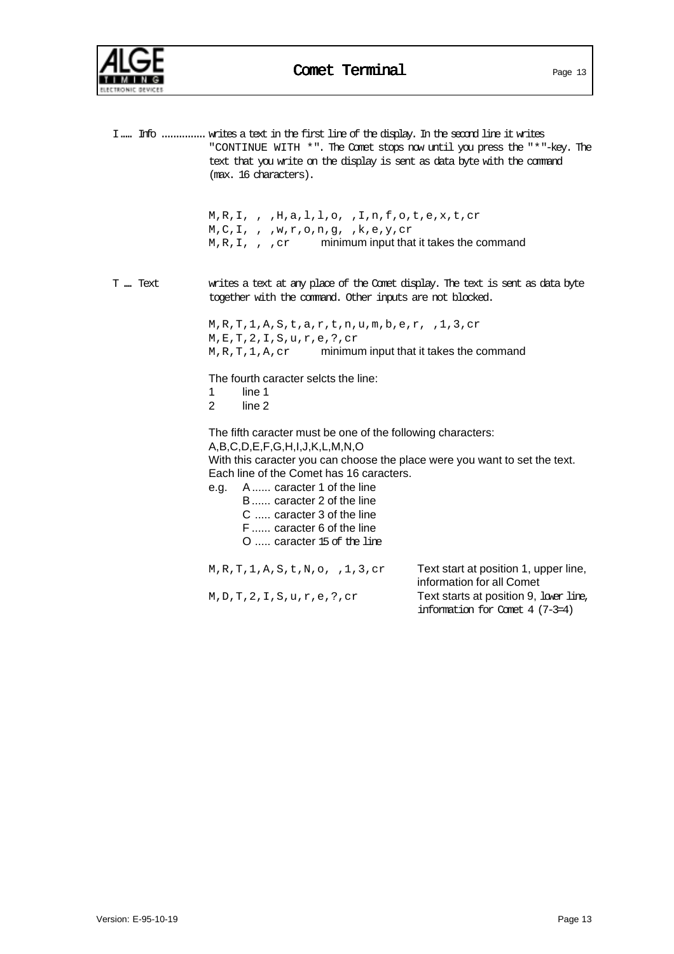

|         | I Info  writes a text in the first line of the display. In the second line it writes<br>"CONTINUE WITH *". The Comet stops now until you press the "*"-key. The<br>text that you write on the display is sent as data byte with the command<br>(max. 16 characters).                                                                                                         |                                                                    |
|---------|------------------------------------------------------------------------------------------------------------------------------------------------------------------------------------------------------------------------------------------------------------------------------------------------------------------------------------------------------------------------------|--------------------------------------------------------------------|
|         | $M, R, I,$ , $H, a, l, l, o, I, n, f, o, t, e, x, t, cr$<br>$M, C, I,$ , , w,r,o,n,g, ,k,e,y,cr<br>$M, R, I,$ , $, cr$ minimum input that it takes the command                                                                                                                                                                                                               |                                                                    |
| T  Text | writes a text at any place of the Comet display. The text is sent as data byte<br>together with the command. Other inputs are not blocked.                                                                                                                                                                                                                                   |                                                                    |
|         | $M, R, T, 1, A, S, t, a, r, t, n, u, m, b, e, r, 1, 3, cr$<br>M, E, T, 2, I, S, u, r, e, ?, cr<br>$M, R, T, 1, A, cr$ minimum input that it takes the command                                                                                                                                                                                                                |                                                                    |
|         | The fourth caracter selcts the line:<br>1<br>line 1<br>$\overline{2}$<br>line 2                                                                                                                                                                                                                                                                                              |                                                                    |
|         | The fifth caracter must be one of the following characters:<br>A,B,C,D,E,F,G,H,I,J,K,L,M,N,O<br>With this caracter you can choose the place were you want to set the text.<br>Each line of the Comet has 16 caracters.<br>e.g. A caracter 1 of the line<br>B caracter 2 of the line<br>C  caracter 3 of the line<br>F  caracter 6 of the line<br>$O$ caracter 15 of the line |                                                                    |
|         | M, R, T, 1, A, S, t, N, o, 1, 3, cr                                                                                                                                                                                                                                                                                                                                          | Text start at position 1, upper line,<br>information for all Comet |
|         | M, D, T, 2, I, S, u, r, e, ?, cr                                                                                                                                                                                                                                                                                                                                             | Text starts at position 9, lover line,                             |

information for Comet 4 (7-3=4)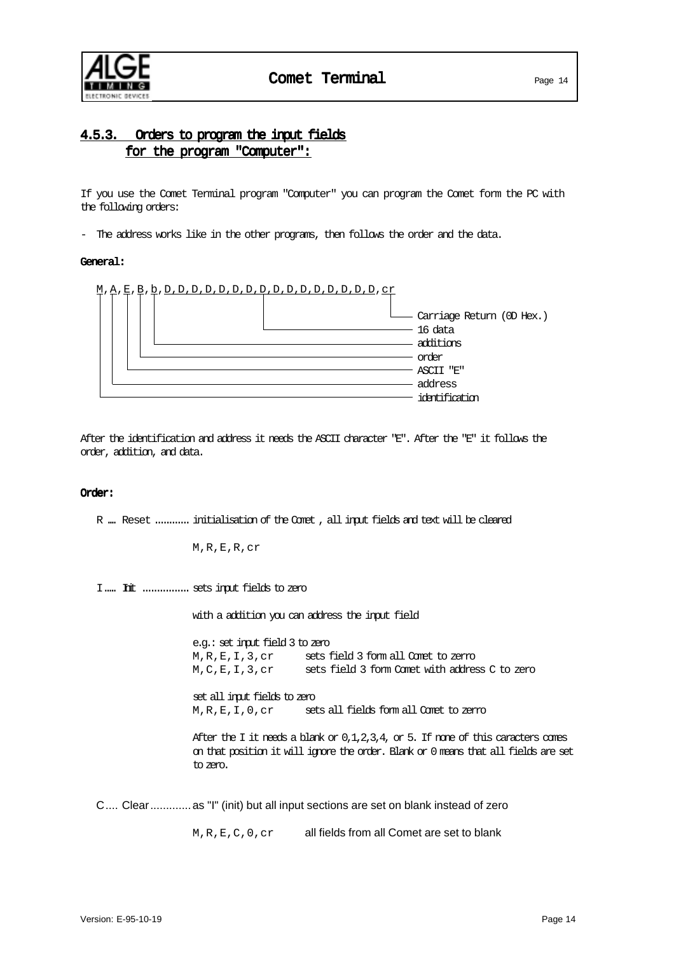

# 4.5.3. Orders to program the input fields for the program "Computer":

If you use the Comet Terminal program "Computer" you can program the Comet form the PC with the following orders:

- The address works like in the other programs, then follows the order and the data.

#### General:



After the identification and address it needs the ASCII character "E". After the "E" it follows the order, addition, and data.

#### Order:

R .... Reset ............ initialisation of the Comet , all input fields and text will be cleared

M,R,E,R,cr

I..... Init ................ sets input fields to zero

with a addition you can address the input field

e.g.: set input field 3 to zero M,R,E,I,3,cr sets field 3 form all Comet to zerro M,C,E,I,3,cr sets field 3 form Comet with address C to zero

set all input fields to zero M,R,E,I,0,cr sets all fields form all Comet to zerro

After the I it needs a blank or  $0,1,2,3,4$ , or 5. If none of this caracters comes on that position it will ignore the order. Blank or 0 means that all fields are set to zero.

C.... Clear.............as "I" (init) but all input sections are set on blank instead of zero

M, R, E, C, 0, cr all fields from all Comet are set to blank